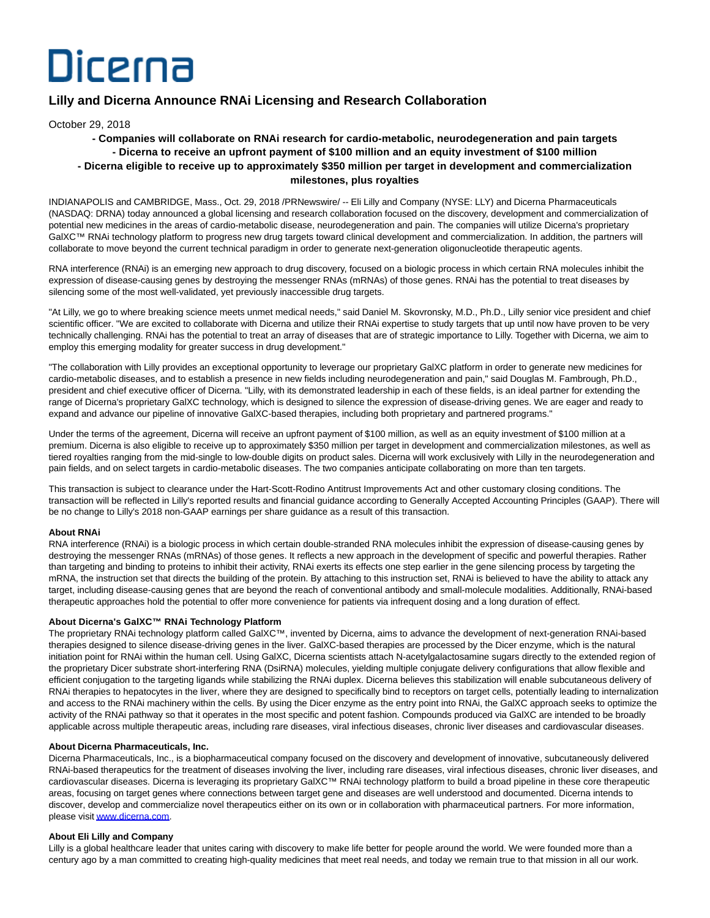# Dicerna

## **Lilly and Dicerna Announce RNAi Licensing and Research Collaboration**

October 29, 2018

### **- Companies will collaborate on RNAi research for cardio-metabolic, neurodegeneration and pain targets - Dicerna to receive an upfront payment of \$100 million and an equity investment of \$100 million - Dicerna eligible to receive up to approximately \$350 million per target in development and commercialization milestones, plus royalties**

INDIANAPOLIS and CAMBRIDGE, Mass., Oct. 29, 2018 /PRNewswire/ -- Eli Lilly and Company (NYSE: LLY) and Dicerna Pharmaceuticals (NASDAQ: DRNA) today announced a global licensing and research collaboration focused on the discovery, development and commercialization of potential new medicines in the areas of cardio-metabolic disease, neurodegeneration and pain. The companies will utilize Dicerna's proprietary GalXC™ RNAi technology platform to progress new drug targets toward clinical development and commercialization. In addition, the partners will collaborate to move beyond the current technical paradigm in order to generate next-generation oligonucleotide therapeutic agents.

RNA interference (RNAi) is an emerging new approach to drug discovery, focused on a biologic process in which certain RNA molecules inhibit the expression of disease-causing genes by destroying the messenger RNAs (mRNAs) of those genes. RNAi has the potential to treat diseases by silencing some of the most well-validated, yet previously inaccessible drug targets.

"At Lilly, we go to where breaking science meets unmet medical needs," said Daniel M. Skovronsky, M.D., Ph.D., Lilly senior vice president and chief scientific officer. "We are excited to collaborate with Dicerna and utilize their RNAi expertise to study targets that up until now have proven to be very technically challenging. RNAi has the potential to treat an array of diseases that are of strategic importance to Lilly. Together with Dicerna, we aim to employ this emerging modality for greater success in drug development."

"The collaboration with Lilly provides an exceptional opportunity to leverage our proprietary GalXC platform in order to generate new medicines for cardio-metabolic diseases, and to establish a presence in new fields including neurodegeneration and pain," said Douglas M. Fambrough, Ph.D., president and chief executive officer of Dicerna. "Lilly, with its demonstrated leadership in each of these fields, is an ideal partner for extending the range of Dicerna's proprietary GalXC technology, which is designed to silence the expression of disease-driving genes. We are eager and ready to expand and advance our pipeline of innovative GalXC-based therapies, including both proprietary and partnered programs."

Under the terms of the agreement, Dicerna will receive an upfront payment of \$100 million, as well as an equity investment of \$100 million at a premium. Dicerna is also eligible to receive up to approximately \$350 million per target in development and commercialization milestones, as well as tiered royalties ranging from the mid-single to low-double digits on product sales. Dicerna will work exclusively with Lilly in the neurodegeneration and pain fields, and on select targets in cardio-metabolic diseases. The two companies anticipate collaborating on more than ten targets.

This transaction is subject to clearance under the Hart-Scott-Rodino Antitrust Improvements Act and other customary closing conditions. The transaction will be reflected in Lilly's reported results and financial guidance according to Generally Accepted Accounting Principles (GAAP). There will be no change to Lilly's 2018 non-GAAP earnings per share guidance as a result of this transaction.

#### **About RNAi**

RNA interference (RNAi) is a biologic process in which certain double-stranded RNA molecules inhibit the expression of disease-causing genes by destroying the messenger RNAs (mRNAs) of those genes. It reflects a new approach in the development of specific and powerful therapies. Rather than targeting and binding to proteins to inhibit their activity, RNAi exerts its effects one step earlier in the gene silencing process by targeting the mRNA, the instruction set that directs the building of the protein. By attaching to this instruction set, RNAi is believed to have the ability to attack any target, including disease-causing genes that are beyond the reach of conventional antibody and small-molecule modalities. Additionally, RNAi-based therapeutic approaches hold the potential to offer more convenience for patients via infrequent dosing and a long duration of effect.

#### **About Dicerna's GalXC™ RNAi Technology Platform**

The proprietary RNAi technology platform called GalXC™, invented by Dicerna, aims to advance the development of next-generation RNAi-based therapies designed to silence disease-driving genes in the liver. GalXC-based therapies are processed by the Dicer enzyme, which is the natural initiation point for RNAi within the human cell. Using GalXC, Dicerna scientists attach N-acetylgalactosamine sugars directly to the extended region of the proprietary Dicer substrate short-interfering RNA (DsiRNA) molecules, yielding multiple conjugate delivery configurations that allow flexible and efficient conjugation to the targeting ligands while stabilizing the RNAi duplex. Dicerna believes this stabilization will enable subcutaneous delivery of RNAi therapies to hepatocytes in the liver, where they are designed to specifically bind to receptors on target cells, potentially leading to internalization and access to the RNAi machinery within the cells. By using the Dicer enzyme as the entry point into RNAi, the GalXC approach seeks to optimize the activity of the RNAi pathway so that it operates in the most specific and potent fashion. Compounds produced via GalXC are intended to be broadly applicable across multiple therapeutic areas, including rare diseases, viral infectious diseases, chronic liver diseases and cardiovascular diseases.

#### **About Dicerna Pharmaceuticals, Inc.**

Dicerna Pharmaceuticals, Inc., is a biopharmaceutical company focused on the discovery and development of innovative, subcutaneously delivered RNAi-based therapeutics for the treatment of diseases involving the liver, including rare diseases, viral infectious diseases, chronic liver diseases, and cardiovascular diseases. Dicerna is leveraging its proprietary GalXC™ RNAi technology platform to build a broad pipeline in these core therapeutic areas, focusing on target genes where connections between target gene and diseases are well understood and documented. Dicerna intends to discover, develop and commercialize novel therapeutics either on its own or in collaboration with pharmaceutical partners. For more information, please visi[t www.dicerna.com.](http://www.dicerna.com/)

#### **About Eli Lilly and Company**

Lilly is a global healthcare leader that unites caring with discovery to make life better for people around the world. We were founded more than a century ago by a man committed to creating high-quality medicines that meet real needs, and today we remain true to that mission in all our work.